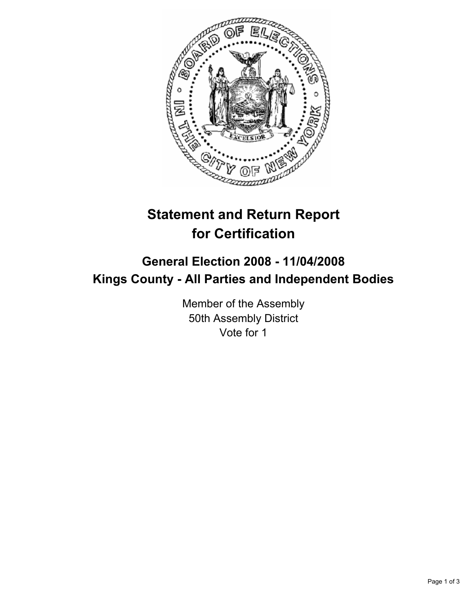

# **Statement and Return Report for Certification**

# **General Election 2008 - 11/04/2008 Kings County - All Parties and Independent Bodies**

Member of the Assembly 50th Assembly District Vote for 1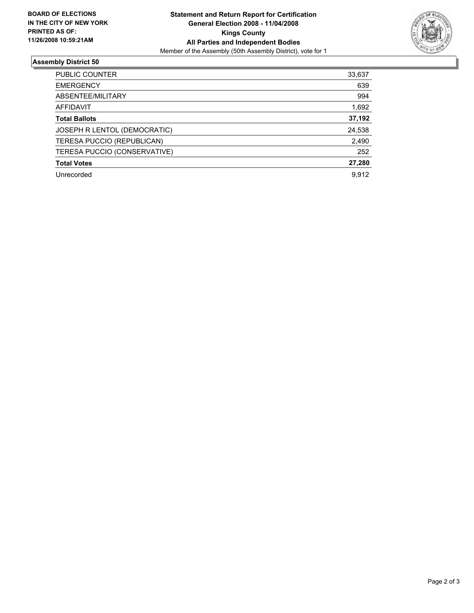

## **Assembly District 50**

| PUBLIC COUNTER               | 33,637 |
|------------------------------|--------|
| <b>EMERGENCY</b>             | 639    |
| ABSENTEE/MILITARY            | 994    |
| AFFIDAVIT                    | 1,692  |
| <b>Total Ballots</b>         | 37,192 |
| JOSEPH R LENTOL (DEMOCRATIC) | 24,538 |
| TERESA PUCCIO (REPUBLICAN)   | 2,490  |
| TERESA PUCCIO (CONSERVATIVE) | 252    |
| <b>Total Votes</b>           | 27,280 |
| Unrecorded                   | 9.912  |
|                              |        |